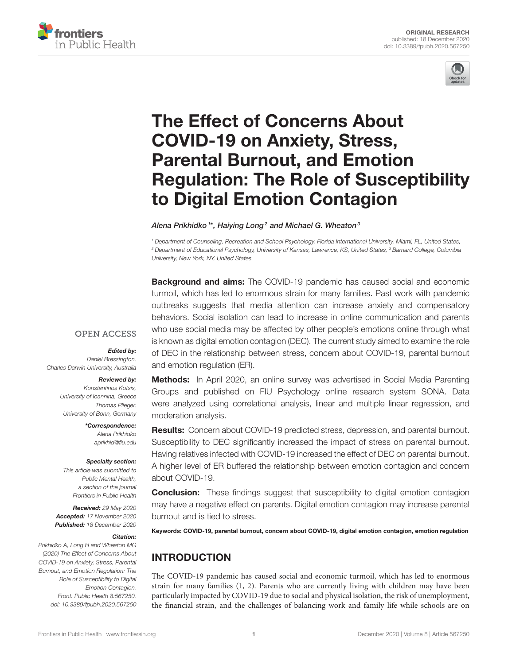



# The Effect of Concerns About COVID-19 on Anxiety, Stress, Parental Burnout, and Emotion [Regulation: The Role of Susceptibility](https://www.frontiersin.org/articles/10.3389/fpubh.2020.567250/full) to Digital Emotion Contagion

Alena Prikhidko  $^{1\star}$ , Haiying Long $^2$  and Michael G. Wheaton $^3$ 

*<sup>1</sup> Department of Counseling, Recreation and School Psychology, Florida International University, Miami, FL, United States, <sup>2</sup> Department of Educational Psychology, University of Kansas, Lawrence, KS, United States, <sup>3</sup> Barnard College, Columbia University, New York, NY, United States*

**Background and aims:** The COVID-19 pandemic has caused social and economic turmoil, which has led to enormous strain for many families. Past work with pandemic outbreaks suggests that media attention can increase anxiety and compensatory behaviors. Social isolation can lead to increase in online communication and parents who use social media may be affected by other people's emotions online through what is known as digital emotion contagion (DEC). The current study aimed to examine the role of DEC in the relationship between stress, concern about COVID-19, parental burnout and emotion regulation (ER).

## **OPEN ACCESS**

Edited by:

*Daniel Bressington, Charles Darwin University, Australia*

#### Reviewed by:

*Konstantinos Kotsis, University of Ioannina, Greece Thomas Plieger, University of Bonn, Germany*

> \*Correspondence: *Alena Prikhidko [aprikhid@fiu.edu](mailto:aprikhid@fiu.edu)*

#### Specialty section:

*This article was submitted to Public Mental Health, a section of the journal Frontiers in Public Health*

Received: *29 May 2020* Accepted: *17 November 2020* Published: *18 December 2020*

#### Citation:

*Prikhidko A, Long H and Wheaton MG (2020) The Effect of Concerns About COVID-19 on Anxiety, Stress, Parental Burnout, and Emotion Regulation: The Role of Susceptibility to Digital Emotion Contagion. Front. Public Health 8:567250. doi: [10.3389/fpubh.2020.567250](https://doi.org/10.3389/fpubh.2020.567250)*

Methods: In April 2020, an online survey was advertised in Social Media Parenting Groups and published on FIU Psychology online research system SONA. Data were analyzed using correlational analysis, linear and multiple linear regression, and moderation analysis.

Results: Concern about COVID-19 predicted stress, depression, and parental burnout. Susceptibility to DEC significantly increased the impact of stress on parental burnout. Having relatives infected with COVID-19 increased the effect of DEC on parental burnout. A higher level of ER buffered the relationship between emotion contagion and concern about COVID-19.

**Conclusion:** These findings suggest that susceptibility to digital emotion contagion may have a negative effect on parents. Digital emotion contagion may increase parental burnout and is tied to stress.

Keywords: COVID-19, parental burnout, concern about COVID-19, digital emotion contagion, emotion regulation

# INTRODUCTION

The COVID-19 pandemic has caused social and economic turmoil, which has led to enormous strain for many families [\(1,](#page-8-0) [2\)](#page-8-1). Parents who are currently living with children may have been particularly impacted by COVID-19 due to social and physical isolation, the risk of unemployment, the financial strain, and the challenges of balancing work and family life while schools are on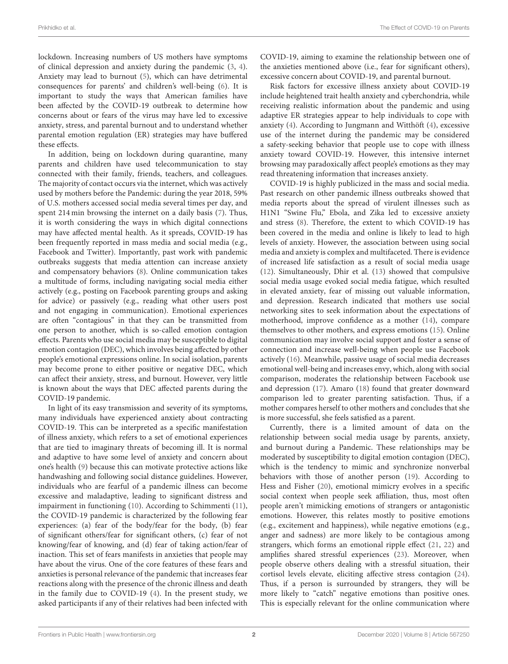lockdown. Increasing numbers of US mothers have symptoms of clinical depression and anxiety during the pandemic [\(3,](#page-8-2) [4\)](#page-8-3). Anxiety may lead to burnout [\(5\)](#page-8-4), which can have detrimental consequences for parents' and children's well-being [\(6\)](#page-8-5). It is important to study the ways that American families have been affected by the COVID-19 outbreak to determine how concerns about or fears of the virus may have led to excessive anxiety, stress, and parental burnout and to understand whether parental emotion regulation (ER) strategies may have buffered these effects.

In addition, being on lockdown during quarantine, many parents and children have used telecommunication to stay connected with their family, friends, teachers, and colleagues. The majority of contact occurs via the internet, which was actively used by mothers before the Pandemic: during the year 2018, 59% of U.S. mothers accessed social media several times per day, and spent 214 min browsing the internet on a daily basis [\(7\)](#page-8-6). Thus, it is worth considering the ways in which digital connections may have affected mental health. As it spreads, COVID-19 has been frequently reported in mass media and social media (e.g., Facebook and Twitter). Importantly, past work with pandemic outbreaks suggests that media attention can increase anxiety and compensatory behaviors [\(8\)](#page-8-7). Online communication takes a multitude of forms, including navigating social media either actively (e.g., posting on Facebook parenting groups and asking for advice) or passively (e.g., reading what other users post and not engaging in communication). Emotional experiences are often "contagious" in that they can be transmitted from one person to another, which is so-called emotion contagion effects. Parents who use social media may be susceptible to digital emotion contagion (DEC), which involves being affected by other people's emotional expressions online. In social isolation, parents may become prone to either positive or negative DEC, which can affect their anxiety, stress, and burnout. However, very little is known about the ways that DEC affected parents during the COVID-19 pandemic.

In light of its easy transmission and severity of its symptoms, many individuals have experienced anxiety about contracting COVID-19. This can be interpreted as a specific manifestation of illness anxiety, which refers to a set of emotional experiences that are tied to imaginary threats of becoming ill. It is normal and adaptive to have some level of anxiety and concern about one's health [\(9\)](#page-8-8) because this can motivate protective actions like handwashing and following social distance guidelines. However, individuals who are fearful of a pandemic illness can become excessive and maladaptive, leading to significant distress and impairment in functioning [\(10\)](#page-8-9). According to Schimmenti [\(11\)](#page-8-10), the COVID-19 pandemic is characterized by the following fear experiences: (a) fear of the body/fear for the body, (b) fear of significant others/fear for significant others, (c) fear of not knowing/fear of knowing, and (d) fear of taking action/fear of inaction. This set of fears manifests in anxieties that people may have about the virus. One of the core features of these fears and anxieties is personal relevance of the pandemic that increases fear reactions along with the presence of the chronic illness and death in the family due to COVID-19 [\(4\)](#page-8-3). In the present study, we asked participants if any of their relatives had been infected with COVID-19, aiming to examine the relationship between one of the anxieties mentioned above (i.e., fear for significant others), excessive concern about COVID-19, and parental burnout.

Risk factors for excessive illness anxiety about COVID-19 include heightened trait health anxiety and cyberchondria, while receiving realistic information about the pandemic and using adaptive ER strategies appear to help individuals to cope with anxiety [\(4\)](#page-8-3). According to Jungmann and Witthöft [\(4\)](#page-8-3), excessive use of the internet during the pandemic may be considered a safety-seeking behavior that people use to cope with illness anxiety toward COVID-19. However, this intensive internet browsing may paradoxically affect people's emotions as they may read threatening information that increases anxiety.

COVID-19 is highly publicized in the mass and social media. Past research on other pandemic illness outbreaks showed that media reports about the spread of virulent illnesses such as H1N1 "Swine Flu," Ebola, and Zika led to excessive anxiety and stress [\(8\)](#page-8-7). Therefore, the extent to which COVID-19 has been covered in the media and online is likely to lead to high levels of anxiety. However, the association between using social media and anxiety is complex and multifaceted. There is evidence of increased life satisfaction as a result of social media usage [\(12\)](#page-8-11). Simultaneously, Dhir et al. [\(13\)](#page-8-12) showed that compulsive social media usage evoked social media fatigue, which resulted in elevated anxiety, fear of missing out valuable information, and depression. Research indicated that mothers use social networking sites to seek information about the expectations of motherhood, improve confidence as a mother [\(14\)](#page-8-13), compare themselves to other mothers, and express emotions [\(15\)](#page-8-14). Online communication may involve social support and foster a sense of connection and increase well-being when people use Facebook actively [\(16\)](#page-8-15). Meanwhile, passive usage of social media decreases emotional well-being and increases envy, which, along with social comparison, moderates the relationship between Facebook use and depression [\(17\)](#page-8-16). Amaro [\(18\)](#page-8-17) found that greater downward comparison led to greater parenting satisfaction. Thus, if a mother compares herself to other mothers and concludes that she is more successful, she feels satisfied as a parent.

Currently, there is a limited amount of data on the relationship between social media usage by parents, anxiety, and burnout during a Pandemic. These relationships may be moderated by susceptibility to digital emotion contagion (DEC), which is the tendency to mimic and synchronize nonverbal behaviors with those of another person [\(19\)](#page-8-18). According to Hess and Fisher [\(20\)](#page-8-19), emotional mimicry evolves in a specific social context when people seek affiliation, thus, most often people aren't mimicking emotions of strangers or antagonistic emotions. However, this relates mostly to positive emotions (e.g., excitement and happiness), while negative emotions (e.g., anger and sadness) are more likely to be contagious among strangers, which forms an emotional ripple effect [\(21,](#page-8-20) [22\)](#page-8-21) and amplifies shared stressful experiences [\(23\)](#page-8-22). Moreover, when people observe others dealing with a stressful situation, their cortisol levels elevate, eliciting affective stress contagion [\(24\)](#page-8-23). Thus, if a person is surrounded by strangers, they will be more likely to "catch" negative emotions than positive ones. This is especially relevant for the online communication where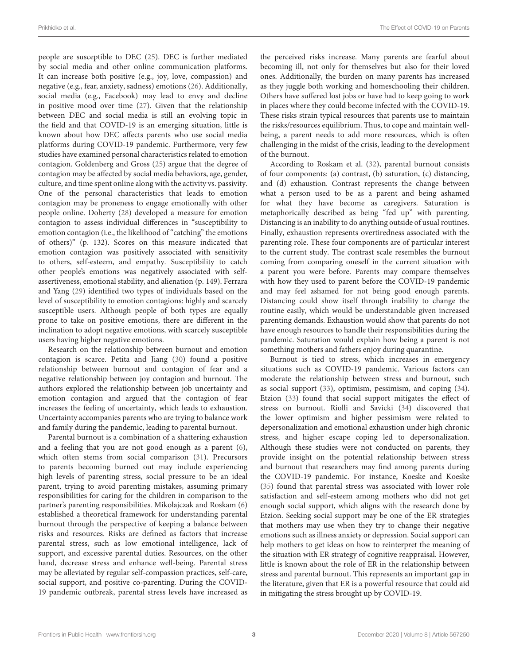people are susceptible to DEC [\(25\)](#page-8-24). DEC is further mediated by social media and other online communication platforms. It can increase both positive (e.g., joy, love, compassion) and negative (e.g., fear, anxiety, sadness) emotions [\(26\)](#page-8-25). Additionally, social media (e.g., Facebook) may lead to envy and decline in positive mood over time [\(27\)](#page-9-0). Given that the relationship between DEC and social media is still an evolving topic in the field and that COVID-19 is an emerging situation, little is known about how DEC affects parents who use social media platforms during COVID-19 pandemic. Furthermore, very few studies have examined personal characteristics related to emotion contagion. Goldenberg and Gross [\(25\)](#page-8-24) argue that the degree of contagion may be affected by social media behaviors, age, gender, culture, and time spent online along with the activity vs. passivity. One of the personal characteristics that leads to emotion contagion may be proneness to engage emotionally with other people online. Doherty [\(28\)](#page-9-1) developed a measure for emotion contagion to assess individual differences in "susceptibility to emotion contagion (i.e., the likelihood of "catching" the emotions of others)" (p. 132). Scores on this measure indicated that emotion contagion was positively associated with sensitivity to others, self-esteem, and empathy. Susceptibility to catch other people's emotions was negatively associated with selfassertiveness, emotional stability, and alienation (p. 149). Ferrara and Yang [\(29\)](#page-9-2) identified two types of individuals based on the level of susceptibility to emotion contagions: highly and scarcely susceptible users. Although people of both types are equally prone to take on positive emotions, there are different in the inclination to adopt negative emotions, with scarcely susceptible users having higher negative emotions.

Research on the relationship between burnout and emotion contagion is scarce. Petita and Jiang [\(30\)](#page-9-3) found a positive relationship between burnout and contagion of fear and a negative relationship between joy contagion and burnout. The authors explored the relationship between job uncertainty and emotion contagion and argued that the contagion of fear increases the feeling of uncertainty, which leads to exhaustion. Uncertainty accompanies parents who are trying to balance work and family during the pandemic, leading to parental burnout.

Parental burnout is a combination of a shattering exhaustion and a feeling that you are not good enough as a parent [\(6\)](#page-8-5), which often stems from social comparison [\(31\)](#page-9-4). Precursors to parents becoming burned out may include experiencing high levels of parenting stress, social pressure to be an ideal parent, trying to avoid parenting mistakes, assuming primary responsibilities for caring for the children in comparison to the partner's parenting responsibilities. Mikolajczak and Roskam [\(6\)](#page-8-5) established a theoretical framework for understanding parental burnout through the perspective of keeping a balance between risks and resources. Risks are defined as factors that increase parental stress, such as low emotional intelligence, lack of support, and excessive parental duties. Resources, on the other hand, decrease stress and enhance well-being. Parental stress may be alleviated by regular self-compassion practices, self-care, social support, and positive co-parenting. During the COVID-19 pandemic outbreak, parental stress levels have increased as the perceived risks increase. Many parents are fearful about becoming ill, not only for themselves but also for their loved ones. Additionally, the burden on many parents has increased as they juggle both working and homeschooling their children. Others have suffered lost jobs or have had to keep going to work in places where they could become infected with the COVID-19. These risks strain typical resources that parents use to maintain the risks/resources equilibrium. Thus, to cope and maintain wellbeing, a parent needs to add more resources, which is often challenging in the midst of the crisis, leading to the development of the burnout.

According to Roskam et al. [\(32\)](#page-9-5), parental burnout consists of four components: (a) contrast, (b) saturation, (c) distancing, and (d) exhaustion. Contrast represents the change between what a person used to be as a parent and being ashamed for what they have become as caregivers. Saturation is metaphorically described as being "fed up" with parenting. Distancing is an inability to do anything outside of usual routines. Finally, exhaustion represents overtiredness associated with the parenting role. These four components are of particular interest to the current study. The contrast scale resembles the burnout coming from comparing oneself in the current situation with a parent you were before. Parents may compare themselves with how they used to parent before the COVID-19 pandemic and may feel ashamed for not being good enough parents. Distancing could show itself through inability to change the routine easily, which would be understandable given increased parenting demands. Exhaustion would show that parents do not have enough resources to handle their responsibilities during the pandemic. Saturation would explain how being a parent is not something mothers and fathers enjoy during quarantine.

Burnout is tied to stress, which increases in emergency situations such as COVID-19 pandemic. Various factors can moderate the relationship between stress and burnout, such as social support [\(33\)](#page-9-6), optimism, pessimism, and coping [\(34\)](#page-9-7). Etzion [\(33\)](#page-9-6) found that social support mitigates the effect of stress on burnout. Riolli and Savicki [\(34\)](#page-9-7) discovered that the lower optimism and higher pessimism were related to depersonalization and emotional exhaustion under high chronic stress, and higher escape coping led to depersonalization. Although these studies were not conducted on parents, they provide insight on the potential relationship between stress and burnout that researchers may find among parents during the COVID-19 pandemic. For instance, Koeske and Koeske [\(35\)](#page-9-8) found that parental stress was associated with lower role satisfaction and self-esteem among mothers who did not get enough social support, which aligns with the research done by Etzion. Seeking social support may be one of the ER strategies that mothers may use when they try to change their negative emotions such as illness anxiety or depression. Social support can help mothers to get ideas on how to reinterpret the meaning of the situation with ER strategy of cognitive reappraisal. However, little is known about the role of ER in the relationship between stress and parental burnout. This represents an important gap in the literature, given that ER is a powerful resource that could aid in mitigating the stress brought up by COVID-19.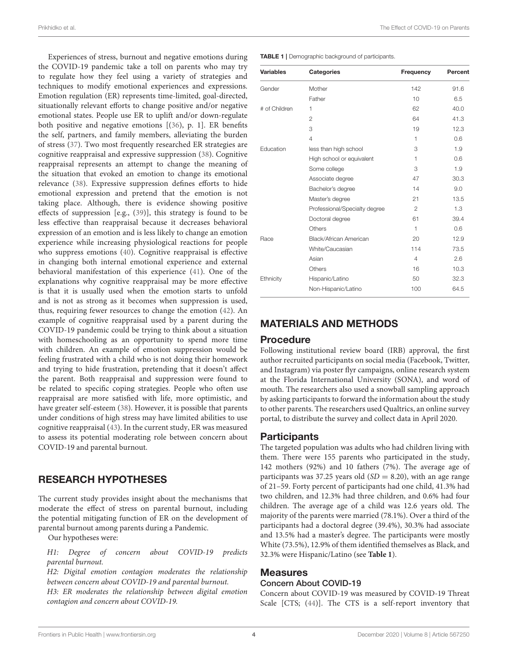Experiences of stress, burnout and negative emotions during the COVID-19 pandemic take a toll on parents who may try to regulate how they feel using a variety of strategies and techniques to modify emotional experiences and expressions. Emotion regulation (ER) represents time-limited, goal-directed, situationally relevant efforts to change positive and/or negative emotional states. People use ER to uplift and/or down-regulate both positive and negative emotions [[\(36\)](#page-9-9), p. 1]. ER benefits the self, partners, and family members, alleviating the burden of stress [\(37\)](#page-9-10). Two most frequently researched ER strategies are cognitive reappraisal and expressive suppression [\(38\)](#page-9-11). Cognitive reappraisal represents an attempt to change the meaning of the situation that evoked an emotion to change its emotional relevance [\(38\)](#page-9-11). Expressive suppression defines efforts to hide emotional expression and pretend that the emotion is not taking place. Although, there is evidence showing positive effects of suppression [e.g., [\(39\)](#page-9-12)], this strategy is found to be less effective than reappraisal because it decreases behavioral expression of an emotion and is less likely to change an emotion experience while increasing physiological reactions for people who suppress emotions [\(40\)](#page-9-13). Cognitive reappraisal is effective in changing both internal emotional experience and external behavioral manifestation of this experience [\(41\)](#page-9-14). One of the explanations why cognitive reappraisal may be more effective is that it is usually used when the emotion starts to unfold and is not as strong as it becomes when suppression is used, thus, requiring fewer resources to change the emotion [\(42\)](#page-9-15). An example of cognitive reappraisal used by a parent during the COVID-19 pandemic could be trying to think about a situation with homeschooling as an opportunity to spend more time with children. An example of emotion suppression would be feeling frustrated with a child who is not doing their homework and trying to hide frustration, pretending that it doesn't affect the parent. Both reappraisal and suppression were found to be related to specific coping strategies. People who often use reappraisal are more satisfied with life, more optimistic, and have greater self-esteem [\(38\)](#page-9-11). However, it is possible that parents under conditions of high stress may have limited abilities to use cognitive reappraisal [\(43\)](#page-9-16). In the current study, ER was measured to assess its potential moderating role between concern about COVID-19 and parental burnout.

# RESEARCH HYPOTHESES

The current study provides insight about the mechanisms that moderate the effect of stress on parental burnout, including the potential mitigating function of ER on the development of parental burnout among parents during a Pandemic.

Our hypotheses were:

H1: Degree of concern about COVID-19 predicts parental burnout.

H2: Digital emotion contagion moderates the relationship between concern about COVID-19 and parental burnout.

H3: ER moderates the relationship between digital emotion contagion and concern about COVID-19.

<span id="page-3-0"></span>TABLE 1 | Demographic background of participants.

| <b>Variables</b> | <b>Categories</b>             | Frequency      | Percent |
|------------------|-------------------------------|----------------|---------|
| Gender           | Mother                        | 142            | 91.6    |
|                  | Father                        | 10             | 6.5     |
| # of Children    | 1                             | 62             | 40.0    |
|                  | $\overline{2}$                | 64             | 41.3    |
|                  | 3                             | 19             | 12.3    |
|                  | $\overline{4}$                | 1              | 0.6     |
| Education        | less than high school         | 3              | 1.9     |
|                  | High school or equivalent     | 1              | 0.6     |
|                  | Some college                  | 3              | 1.9     |
|                  | Associate degree              | 47             | 30.3    |
|                  | Bachelor's degree             | 14             | 9.0     |
|                  | Master's degree               | 21             | 13.5    |
|                  | Professional/Specialty degree | $\overline{2}$ | 1.3     |
|                  | Doctoral degree               | 61             | 39.4    |
|                  | Others                        | 1              | 0.6     |
| Race             | Black/African American        | 20             | 12.9    |
|                  | White/Caucasian               | 114            | 73.5    |
|                  | Asian                         | $\overline{4}$ | 2.6     |
|                  | Others                        | 16             | 10.3    |
| Ethnicity        | Hispanic/Latino               | 50             | 32.3    |
|                  | Non-Hispanic/Latino           | 100            | 64.5    |

## MATERIALS AND METHODS

#### Procedure

Following institutional review board (IRB) approval, the first author recruited participants on social media (Facebook, Twitter, and Instagram) via poster flyr campaigns, online research system at the Florida International University (SONA), and word of mouth. The researchers also used a snowball sampling approach by asking participants to forward the information about the study to other parents. The researchers used Qualtrics, an online survey portal, to distribute the survey and collect data in April 2020.

#### **Participants**

The targeted population was adults who had children living with them. There were 155 parents who participated in the study, 142 mothers (92%) and 10 fathers (7%). The average age of participants was 37.25 years old  $(SD = 8.20)$ , with an age range of 21–59. Forty percent of participants had one child, 41.3% had two children, and 12.3% had three children, and 0.6% had four children. The average age of a child was 12.6 years old. The majority of the parents were married (78.1%). Over a third of the participants had a doctoral degree (39.4%), 30.3% had associate and 13.5% had a master's degree. The participants were mostly White (73.5%), 12.9% of them identified themselves as Black, and 32.3% were Hispanic/Latino (see **[Table 1](#page-3-0)**).

#### Measures

#### Concern About COVID-19

Concern about COVID-19 was measured by COVID-19 Threat Scale [CTS; [\(44\)](#page-9-17)]. The CTS is a self-report inventory that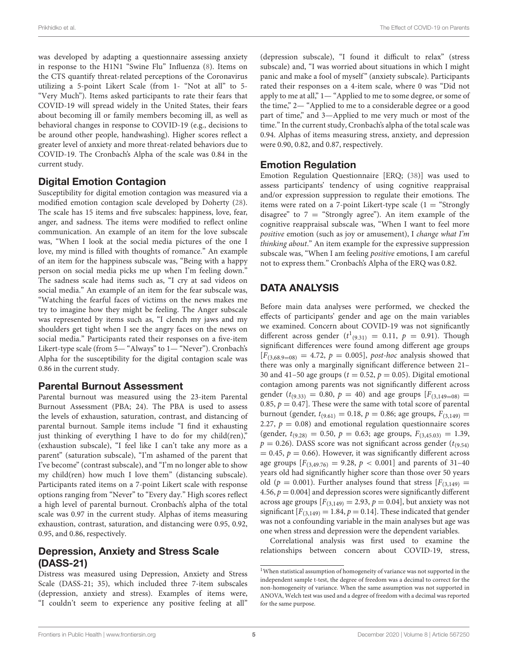was developed by adapting a questionnaire assessing anxiety in response to the H1N1 "Swine Flu" Influenza [\(8\)](#page-8-7). Items on the CTS quantify threat-related perceptions of the Coronavirus utilizing a 5-point Likert Scale (from 1- "Not at all" to 5- "Very Much"). Items asked participants to rate their fears that COVID-19 will spread widely in the United States, their fears about becoming ill or family members becoming ill, as well as behavioral changes in response to COVID-19 (e.g., decisions to be around other people, handwashing). Higher scores reflect a greater level of anxiety and more threat-related behaviors due to COVID-19. The Cronbach's Alpha of the scale was 0.84 in the current study.

## Digital Emotion Contagion

Susceptibility for digital emotion contagion was measured via a modified emotion contagion scale developed by Doherty [\(28\)](#page-9-1). The scale has 15 items and five subscales: happiness, love, fear, anger, and sadness. The items were modified to reflect online communication. An example of an item for the love subscale was, "When I look at the social media pictures of the one I love, my mind is filled with thoughts of romance." An example of an item for the happiness subscale was, "Being with a happy person on social media picks me up when I'm feeling down." The sadness scale had items such as, "I cry at sad videos on social media." An example of an item for the fear subscale was, "Watching the fearful faces of victims on the news makes me try to imagine how they might be feeling. The Anger subscale was represented by items such as, "I clench my jaws and my shoulders get tight when I see the angry faces on the news on social media." Participants rated their responses on a five-item Likert-type scale (from 5— "Always" to 1— "Never"). Cronbach's Alpha for the susceptibility for the digital contagion scale was 0.86 in the current study.

#### Parental Burnout Assessment

Parental burnout was measured using the 23-item Parental Burnout Assessment (PBA; 24). The PBA is used to assess the levels of exhaustion, saturation, contrast, and distancing of parental burnout. Sample items include "I find it exhausting just thinking of everything I have to do for my child(ren)," (exhaustion subscale), "I feel like I can't take any more as a parent" (saturation subscale), "I'm ashamed of the parent that I've become" (contrast subscale), and "I'm no longer able to show my child(ren) how much I love them" (distancing subscale). Participants rated items on a 7-point Likert scale with response options ranging from "Never" to "Every day." High scores reflect a high level of parental burnout. Cronbach's alpha of the total scale was 0.97 in the current study. Alphas of items measuring exhaustion, contrast, saturation, and distancing were 0.95, 0.92, 0.95, and 0.86, respectively.

# Depression, Anxiety and Stress Scale (DASS-21)

Distress was measured using Depression, Anxiety and Stress Scale (DASS-21; 35), which included three 7-item subscales (depression, anxiety and stress). Examples of items were, "I couldn't seem to experience any positive feeling at all"

(depression subscale), "I found it difficult to relax" (stress subscale) and, "I was worried about situations in which I might panic and make a fool of myself" (anxiety subscale). Participants rated their responses on a 4-item scale, where 0 was "Did not apply to me at all," 1— "Applied to me to some degree, or some of the time," 2— "Applied to me to a considerable degree or a good part of time," and 3—Applied to me very much or most of the time." In the current study, Cronbach's alpha of the total scale was 0.94. Alphas of items measuring stress, anxiety, and depression were 0.90, 0.82, and 0.87, respectively.

## Emotion Regulation

Emotion Regulation Questionnaire [ERQ; [\(38\)](#page-9-11)] was used to assess participants' tendency of using cognitive reappraisal and/or expression suppression to regulate their emotions. The items were rated on a 7-point Likert-type scale  $(1 = "Strongly$ disagree" to  $7 =$  "Strongly agree"). An item example of the cognitive reappraisal subscale was, "When I want to feel more positive emotion (such as joy or amusement), I change what I'm thinking about." An item example for the expressive suppression subscale was, "When I am feeling positive emotions, I am careful not to express them." Cronbach's Alpha of the ERQ was 0.82.

# DATA ANALYSIS

Before main data analyses were performed, we checked the effects of participants' gender and age on the main variables we examined. Concern about COVID-19 was not significantly different across gender  $(t^1_{(9,31)} = 0.11, p = 0.91)$  $(t^1_{(9,31)} = 0.11, p = 0.91)$  $(t^1_{(9,31)} = 0.11, p = 0.91)$ . Though significant differences were found among different age groups  $[F_{(3,68.9=08)} = 4.72, p = 0.005]$ , post-hoc analysis showed that there was only a marginally significant difference between 21– 30 and 41–50 age groups ( $t = 0.52$ ,  $p = 0.05$ ). Digital emotional contagion among parents was not significantly different across gender ( $t_{(9,33)} = 0.80$ ,  $p = 40$ ) and age groups  $[F_{(3,149=08)}]$  = 0.85,  $p = 0.47$ . These were the same with total score of parental burnout (gender,  $t_{(9,61)} = 0.18$ ,  $p = 0.86$ ; age groups,  $F_{(3,149)} =$ 2.27,  $p = 0.08$ ) and emotional regulation questionnaire scores (gender,  $t_{(9.28)} = 0.50$ ,  $p = 0.63$ ; age groups,  $F_{(3,45,03)} = 1.39$ ,  $p = 0.26$ ). DASS score was not significant across gender ( $t_{(9,54)}$ )  $= 0.45$ ,  $p = 0.66$ ). However, it was significantly different across age groups  $[F_{(3,49.76)} = 9.28, p < 0.001]$  and parents of 31-40 years old had significantly higher score than those over 50 years old ( $p = 0.001$ ). Further analyses found that stress  $[F_{(3,149)}] =$ 4.56,  $p = 0.004$  and depression scores were significantly different across age groups  $[F_{(3,149)} = 2.93, p = 0.04]$ , but anxiety was not significant  $[F_{(3,149)} = 1.84, p = 0.14]$ . These indicated that gender was not a confounding variable in the main analyses but age was one when stress and depression were the dependent variables.

Correlational analysis was first used to examine the relationships between concern about COVID-19, stress,

<span id="page-4-0"></span> $^{\rm 1}$  When statistical assumption of homogeneity of variance was not supported in the independent sample t-test, the degree of freedom was a decimal to correct for the non-homogeneity of variance. When the same assumption was not supported in ANOVA, Welch test was used and a degree of freedom with a decimal was reported for the same purpose.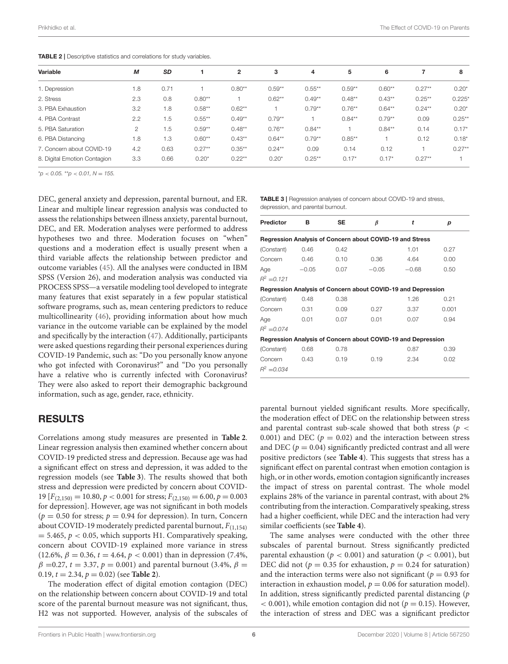<span id="page-5-0"></span>TABLE 2 | Descriptive statistics and correlations for study variables.

| Variable                     | М              | <b>SD</b> |           | $\mathbf{2}$ | 3         | 4         | 5         | 6         |           | 8         |
|------------------------------|----------------|-----------|-----------|--------------|-----------|-----------|-----------|-----------|-----------|-----------|
| 1. Depression                | 1.8            | 0.71      |           | $0.80**$     | $0.59**$  | $0.55***$ | $0.59***$ | $0.60**$  | $0.27**$  | $0.20*$   |
| 2. Stress                    | 2.3            | 0.8       | $0.80**$  |              | $0.62***$ | $0.49**$  | $0.48***$ | $0.43***$ | $0.25***$ | $0.225*$  |
| 3. PBA Exhaustion            | 3.2            | 1.8       | $0.58**$  | $0.62**$     |           | $0.79**$  | $0.76***$ | $0.64***$ | $0.24***$ | $0.20*$   |
| 4. PBA Contrast              | 2.2            | 1.5       | $0.55***$ | $0.49**$     | $0.79**$  |           | $0.84***$ | $0.79**$  | 0.09      | $0.25***$ |
| 5. PBA Saturation            | $\mathfrak{p}$ | 1.5       | $0.59**$  | $0.48**$     | $0.76***$ | $0.84***$ |           | $0.84***$ | 0.14      | $0.17*$   |
| 6. PBA Distancing            | 1.8            | 1.3       | $0.60**$  | $0.43**$     | $0.64***$ | $0.79**$  | $0.85***$ |           | 0.12      | $0.18*$   |
| 7. Concern about COVID-19    | 4.2            | 0.63      | $0.27**$  | $0.35***$    | $0.24***$ | 0.09      | 0.14      | 0.12      |           | $0.27**$  |
| 8. Digital Emotion Contagion | 3.3            | 0.66      | $0.20*$   | $0.22***$    | $0.20*$   | $0.25***$ | $0.17*$   | $0.17*$   | $0.27**$  |           |

 $*$ *p* < 0.05. \*\**p* < 0.01, *N* = 155.

DEC, general anxiety and depression, parental burnout, and ER. Linear and multiple linear regression analysis was conducted to assess the relationships between illness anxiety, parental burnout, DEC, and ER. Moderation analyses were performed to address hypotheses two and three. Moderation focuses on "when" questions and a moderation effect is usually present when a third variable affects the relationship between predictor and outcome variables [\(45\)](#page-9-18). All the analyses were conducted in IBM SPSS (Version 26), and moderation analysis was conducted via PROCESS SPSS—a versatile modeling tool developed to integrate many features that exist separately in a few popular statistical software programs, such as, mean centering predictors to reduce multicollinearity [\(46\)](#page-9-19), providing information about how much variance in the outcome variable can be explained by the model and specifically by the interaction [\(47\)](#page-9-20). Additionally, participants were asked questions regarding their personal experiences during COVID-19 Pandemic, such as: "Do you personally know anyone who got infected with Coronavirus?" and "Do you personally have a relative who is currently infected with Coronavirus? They were also asked to report their demographic background information, such as age, gender, race, ethnicity.

#### RESULTS

Correlations among study measures are presented in **[Table 2](#page-5-0)**. Linear regression analysis then examined whether concern about COVID-19 predicted stress and depression. Because age was had a significant effect on stress and depression, it was added to the regression models (see **[Table 3](#page-5-1)**). The results showed that both stress and depression were predicted by concern about COVID-19  $[F_{(2,150)} = 10.80, p < 0.001$  for stress;  $F_{(2,150)} = 6.00, p = 0.003$ for depression]. However, age was not significant in both models  $(p = 0.50$  for stress;  $p = 0.94$  for depression). In turn, Concern about COVID-19 moderately predicted parental burnout,  $F_{(1,154)}$  $= 5.465$ ,  $p < 0.05$ , which supports H1. Comparatively speaking, concern about COVID-19 explained more variance in stress (12.6%,  $\beta = 0.36$ ,  $t = 4.64$ ,  $p < 0.001$ ) than in depression (7.4%,  $β = 0.27, t = 3.37, p = 0.001)$  and parental burnout (3.4%,  $β =$ 0.19,  $t = 2.34$ ,  $p = 0.02$ ) (see **[Table 2](#page-5-0)**).

The moderation effect of digital emotion contagion (DEC) on the relationship between concern about COVID-19 and total score of the parental burnout measure was not significant, thus, H2 was not supported. However, analysis of the subscales of

<span id="page-5-1"></span>

| TABLE 3   Regression analyses of concern about COVID-19 and stress, |  |
|---------------------------------------------------------------------|--|
| depression, and parental burnout.                                   |  |

| <b>Predictor</b>                                         | в       | <b>SE</b> | β       | t                                                            | р     |  |  |
|----------------------------------------------------------|---------|-----------|---------|--------------------------------------------------------------|-------|--|--|
| Regression Analysis of Concern about COVID-19 and Stress |         |           |         |                                                              |       |  |  |
| (Constant)                                               | 0.46    | 0.42      |         | 1.01                                                         | 0.27  |  |  |
| Concern                                                  | 0.46    | 0.10      | 0.36    | 4.64                                                         | 0.00  |  |  |
| Age                                                      | $-0.05$ | 0.07      | $-0.05$ | $-0.68$                                                      | 0.50  |  |  |
| $R^2 = 0.121$                                            |         |           |         |                                                              |       |  |  |
|                                                          |         |           |         | Regression Analysis of Concern about COVID-19 and Depression |       |  |  |
| (Constant)                                               | 0.48    | 0.38      |         | 1.26                                                         | 0.21  |  |  |
| Concern                                                  | 0.31    | 0.09      | 0.27    | 3.37                                                         | 0.001 |  |  |
| Age                                                      | 0.01    | 0.07      | 0.01    | 0.07                                                         | 0.94  |  |  |
| $R^2 = 0.074$                                            |         |           |         |                                                              |       |  |  |
|                                                          |         |           |         | Regression Analysis of Concern about COVID-19 and Depression |       |  |  |
| (Constant)                                               | 0.68    | 0.78      |         | 0.87                                                         | 0.39  |  |  |
| Concern                                                  | 0.43    | 0.19      | 0.19    | 2.34                                                         | 0.02  |  |  |
| $R^2 = 0.034$                                            |         |           |         |                                                              |       |  |  |

parental burnout yielded significant results. More specifically, the moderation effect of DEC on the relationship between stress and parental contrast sub-scale showed that both stress ( $p \lt$ 0.001) and DEC ( $p = 0.02$ ) and the interaction between stress and DEC ( $p = 0.04$ ) significantly predicted contrast and all were positive predictors (see **[Table 4](#page-6-0)**). This suggests that stress has a significant effect on parental contrast when emotion contagion is high, or in other words, emotion contagion significantly increases the impact of stress on parental contrast. The whole model explains 28% of the variance in parental contrast, with about 2% contributing from the interaction. Comparatively speaking, stress had a higher coefficient, while DEC and the interaction had very similar coefficients (see **[Table 4](#page-6-0)**).

The same analyses were conducted with the other three subscales of parental burnout. Stress significantly predicted parental exhaustion ( $p < 0.001$ ) and saturation ( $p < 0.001$ ), but DEC did not ( $p = 0.35$  for exhaustion,  $p = 0.24$  for saturation) and the interaction terms were also not significant ( $p = 0.93$  for interaction in exhaustion model,  $p = 0.06$  for saturation model). In addition, stress significantly predicted parental distancing  $(p)$  $\epsilon$  0.001), while emotion contagion did not ( $p = 0.15$ ). However, the interaction of stress and DEC was a significant predictor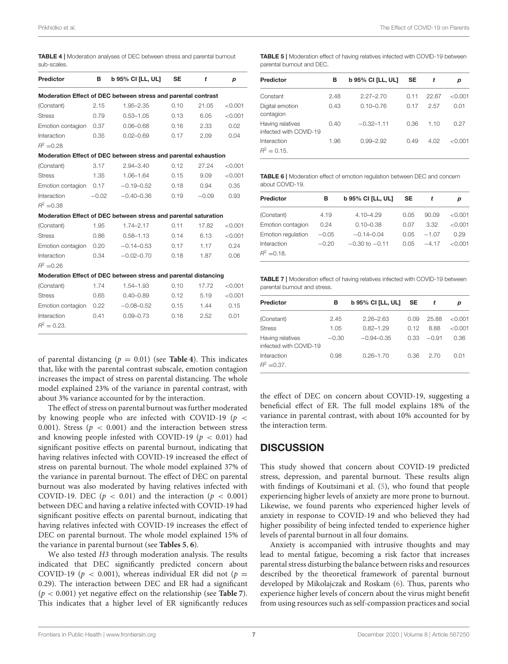<span id="page-6-0"></span>

| sub-scales.       |         |                                                                 |           |         |         |
|-------------------|---------|-----------------------------------------------------------------|-----------|---------|---------|
| <b>Predictor</b>  | в       | b 95% CI [LL, UL]                                               | <b>SE</b> | t       | p       |
|                   |         | Moderation Effect of DEC between stress and parental contrast   |           |         |         |
| (Constant)        | 2.15    | 1.95-2.35                                                       | 0.10      | 21.05   | < 0.001 |
| <b>Stress</b>     | 0.79    | $0.53 - 1.05$                                                   | 0.13      | 6.05    | < 0.001 |
| Emotion contagion | 0.37    | $0.06 - 0.68$                                                   | 0.16      | 2.33    | 0.02    |
| Interaction       | 0.35    | $0.02 - 0.69$                                                   | 0.17      | 2.09    | 0.04    |
| $R^2 = 0.28$      |         |                                                                 |           |         |         |
|                   |         | Moderation Effect of DEC between stress and parental exhaustion |           |         |         |
| (Constant)        | 3.17    | $2.94 - 3.40$                                                   | 0.12      | 27.24   | < 0.001 |
| <b>Stress</b>     | 1.35    | $1.06 - 1.64$                                                   | 0.15      | 9.09    | < 0.001 |
| Emotion contagion | 0.17    | $-0.19 - 0.52$                                                  | 0.18      | 0.94    | 0.35    |
| Interaction       | $-0.02$ | $-0.40 - 0.36$                                                  | 0.19      | $-0.09$ | 0.93    |
| $R^2 = 0.38$      |         |                                                                 |           |         |         |
|                   |         | Moderation Effect of DEC between stress and parental saturation |           |         |         |
| (Constant)        | 1.95    | $1.74 - 2.17$                                                   | 0.11      | 17.82   | < 0.001 |
| <b>Stress</b>     | 0.86    | $0.58 - 1.13$                                                   | 0.14      | 6.13    | < 0.001 |
| Emotion contagion | 0.20    | $-0.14 - 0.53$                                                  | 0.17      | 1.17    | 0.24    |
| Interaction       | 0.34    | $-0.02 - 0.70$                                                  | 0.18      | 1.87    | 0.06    |
| $R^2 = 0.26$      |         |                                                                 |           |         |         |
|                   |         | Moderation Effect of DEC between stress and parental distancing |           |         |         |
| (Constant)        | 1.74    | 1.54-1.93                                                       | 0.10      | 17.72   | < 0.001 |
| <b>Stress</b>     | 0.65    | $0.40 - 0.89$                                                   | 0.12      | 5.19    | < 0.001 |
| Emotion contagion | 0.22    | $-0.08 - 0.52$                                                  | 0.15      | 1.44    | 0.15    |
| Interaction       | 0.41    | $0.09 - 0.73$                                                   | 0.16      | 2.52    | 0.01    |
| $R^2 = 0.23$ .    |         |                                                                 |           |         |         |

of parental distancing  $(p = 0.01)$  (see **[Table 4](#page-6-0)**). This indicates that, like with the parental contrast subscale, emotion contagion increases the impact of stress on parental distancing. The whole model explained 23% of the variance in parental contrast, with about 3% variance accounted for by the interaction.

The effect of stress on parental burnout was further moderated by knowing people who are infected with COVID-19 ( $p \leq$ 0.001). Stress ( $p < 0.001$ ) and the interaction between stress and knowing people infested with COVID-19 ( $p < 0.01$ ) had significant positive effects on parental burnout, indicating that having relatives infected with COVID-19 increased the effect of stress on parental burnout. The whole model explained 37% of the variance in parental burnout. The effect of DEC on parental burnout was also moderated by having relatives infected with COVID-19. DEC ( $p < 0.01$ ) and the interaction ( $p < 0.001$ ) between DEC and having a relative infected with COVID-19 had significant positive effects on parental burnout, indicating that having relatives infected with COVID-19 increases the effect of DEC on parental burnout. The whole model explained 15% of the variance in parental burnout (see **[Tables 5](#page-6-1)**, **[6](#page-6-2)**).

We also tested H3 through moderation analysis. The results indicated that DEC significantly predicted concern about COVID-19 ( $p < 0.001$ ), whereas individual ER did not ( $p =$ 0.29). The interaction between DEC and ER had a significant (p < 0.001) yet negative effect on the relationship (see **[Table 7](#page-6-3)**). This indicates that a higher level of ER significantly reduces

<span id="page-6-1"></span>TABLE 5 | Moderation effect of having relatives infected with COVID-19 between parental burnout and DEC.

| Predictor                                  | в    | <b>b</b> 95% CI [LL, UL] | <b>SE</b> | t     | р       |
|--------------------------------------------|------|--------------------------|-----------|-------|---------|
| Constant                                   | 2.48 | $2.27 - 2.70$            | 0.11      | 22.67 | < 0.001 |
| Digital emotion<br>contagion               | 0.43 | $0.10 - 0.76$            | 0.17      | 2.57  | 0.01    |
| Having relatives<br>infected with COVID-19 | 0.40 | $-0.32 - 1.11$           | 0.36      | 1.10  | 0.27    |
| Interaction<br>$R^2 = 0.15$ .              | 1.96 | $0.99 - 2.92$            | 0.49      | 4.02  | < 0.001 |

<span id="page-6-2"></span>TABLE 6 | Moderation effect of emotion regulation between DEC and concern about COVID-19.

| Predictor                     | в       | <b>b</b> 95% CI [LL, UL] | <b>SE</b> |         | D       |
|-------------------------------|---------|--------------------------|-----------|---------|---------|
| (Constant)                    | 4.19    | $4.10 - 4.29$            | 0.05      | 90.09   | < 0.001 |
| Emotion contagion             | 0.24    | $0.10 - 0.38$            | 0.07      | 3.32    | < 0.001 |
| Emotion regulation            | $-0.05$ | $-0.14 - 0.04$           | 0.05      | $-1.07$ | 0.29    |
| Interaction<br>$R^2 = 0.18$ . | $-0.20$ | $-0.30$ to $-0.11$       | 0.05      | $-417$  | < 0.001 |

<span id="page-6-3"></span>TABLE 7 | Moderation effect of having relatives infected with COVID-19 between parental burnout and stress.

| <b>Predictor</b>                           | в       | <b>b</b> 95% CI [LL, UL] | <b>SE</b> |         | р       |
|--------------------------------------------|---------|--------------------------|-----------|---------|---------|
| (Constant)                                 | 2.45    | $2.26 - 2.63$            | 0.09      | 25.88   | < 0.001 |
| <b>Stress</b>                              | 1.05    | $0.82 - 1.29$            | 0.12      | 8.88    | < 0.001 |
| Having relatives<br>infected with COVID-19 | $-0.30$ | $-0.94 - 0.35$           | 0.33      | $-0.91$ | 0.36    |
| Interaction<br>$R^2 = 0.37$ .              | 0.98    | $0.26 - 1.70$            | 0.36      | 2.70    | 0.01    |

the effect of DEC on concern about COVID-19, suggesting a beneficial effect of ER. The full model explains 18% of the variance in parental contrast, with about 10% accounted for by the interaction term.

# **DISCUSSION**

This study showed that concern about COVID-19 predicted stress, depression, and parental burnout. These results align with findings of Koutsimani et al. [\(5\)](#page-8-4), who found that people experiencing higher levels of anxiety are more prone to burnout. Likewise, we found parents who experienced higher levels of anxiety in response to COVID-19 and who believed they had higher possibility of being infected tended to experience higher levels of parental burnout in all four domains.

Anxiety is accompanied with intrusive thoughts and may lead to mental fatigue, becoming a risk factor that increases parental stress disturbing the balance between risks and resources described by the theoretical framework of parental burnout developed by Mikolajczak and Roskam [\(6\)](#page-8-5). Thus, parents who experience higher levels of concern about the virus might benefit from using resources such as self-compassion practices and social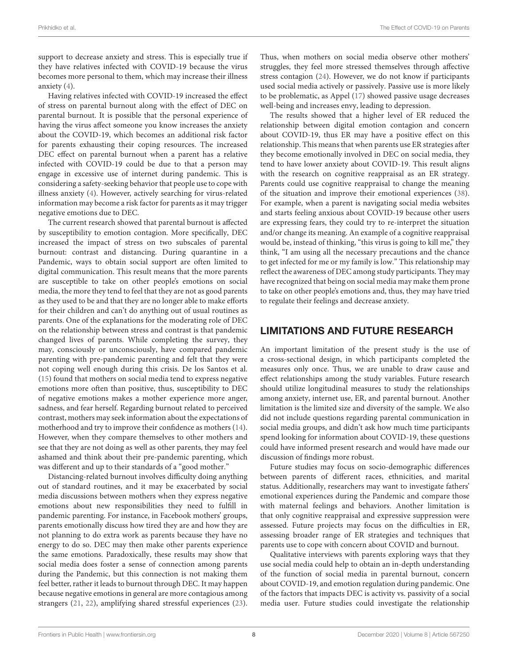support to decrease anxiety and stress. This is especially true if they have relatives infected with COVID-19 because the virus becomes more personal to them, which may increase their illness anxiety [\(4\)](#page-8-3).

Having relatives infected with COVID-19 increased the effect of stress on parental burnout along with the effect of DEC on parental burnout. It is possible that the personal experience of having the virus affect someone you know increases the anxiety about the COVID-19, which becomes an additional risk factor for parents exhausting their coping resources. The increased DEC effect on parental burnout when a parent has a relative infected with COVID-19 could be due to that a person may engage in excessive use of internet during pandemic. This is considering a safety-seeking behavior that people use to cope with illness anxiety [\(4\)](#page-8-3). However, actively searching for virus-related information may become a risk factor for parents as it may trigger negative emotions due to DEC.

The current research showed that parental burnout is affected by susceptibility to emotion contagion. More specifically, DEC increased the impact of stress on two subscales of parental burnout: contrast and distancing. During quarantine in a Pandemic, ways to obtain social support are often limited to digital communication. This result means that the more parents are susceptible to take on other people's emotions on social media, the more they tend to feel that they are not as good parents as they used to be and that they are no longer able to make efforts for their children and can't do anything out of usual routines as parents. One of the explanations for the moderating role of DEC on the relationship between stress and contrast is that pandemic changed lives of parents. While completing the survey, they may, consciously or unconsciously, have compared pandemic parenting with pre-pandemic parenting and felt that they were not coping well enough during this crisis. De los Santos et al. [\(15\)](#page-8-14) found that mothers on social media tend to express negative emotions more often than positive, thus, susceptibility to DEC of negative emotions makes a mother experience more anger, sadness, and fear herself. Regarding burnout related to perceived contrast, mothers may seek information about the expectations of motherhood and try to improve their confidence as mothers [\(14\)](#page-8-13). However, when they compare themselves to other mothers and see that they are not doing as well as other parents, they may feel ashamed and think about their pre-pandemic parenting, which was different and up to their standards of a "good mother."

Distancing-related burnout involves difficulty doing anything out of standard routines, and it may be exacerbated by social media discussions between mothers when they express negative emotions about new responsibilities they need to fulfill in pandemic parenting. For instance, in Facebook mothers' groups, parents emotionally discuss how tired they are and how they are not planning to do extra work as parents because they have no energy to do so. DEC may then make other parents experience the same emotions. Paradoxically, these results may show that social media does foster a sense of connection among parents during the Pandemic, but this connection is not making them feel better, rather it leads to burnout through DEC. It may happen because negative emotions in general are more contagious among strangers [\(21,](#page-8-20) [22\)](#page-8-21), amplifying shared stressful experiences [\(23\)](#page-8-22). Thus, when mothers on social media observe other mothers' struggles, they feel more stressed themselves through affective stress contagion [\(24\)](#page-8-23). However, we do not know if participants used social media actively or passively. Passive use is more likely to be problematic, as Appel [\(17\)](#page-8-16) showed passive usage decreases well-being and increases envy, leading to depression.

The results showed that a higher level of ER reduced the relationship between digital emotion contagion and concern about COVID-19, thus ER may have a positive effect on this relationship. This means that when parents use ER strategies after they become emotionally involved in DEC on social media, they tend to have lower anxiety about COVID-19. This result aligns with the research on cognitive reappraisal as an ER strategy. Parents could use cognitive reappraisal to change the meaning of the situation and improve their emotional experiences [\(38\)](#page-9-11). For example, when a parent is navigating social media websites and starts feeling anxious about COVID-19 because other users are expressing fears, they could try to re-interpret the situation and/or change its meaning. An example of a cognitive reappraisal would be, instead of thinking, "this virus is going to kill me," they think, "I am using all the necessary precautions and the chance to get infected for me or my family is low." This relationship may reflect the awareness of DEC among study participants. They may have recognized that being on social media may make them prone to take on other people's emotions and, thus, they may have tried to regulate their feelings and decrease anxiety.

#### LIMITATIONS AND FUTURE RESEARCH

An important limitation of the present study is the use of a cross-sectional design, in which participants completed the measures only once. Thus, we are unable to draw cause and effect relationships among the study variables. Future research should utilize longitudinal measures to study the relationships among anxiety, internet use, ER, and parental burnout. Another limitation is the limited size and diversity of the sample. We also did not include questions regarding parental communication in social media groups, and didn't ask how much time participants spend looking for information about COVID-19, these questions could have informed present research and would have made our discussion of findings more robust.

Future studies may focus on socio-demographic differences between parents of different races, ethnicities, and marital status. Additionally, researchers may want to investigate fathers' emotional experiences during the Pandemic and compare those with maternal feelings and behaviors. Another limitation is that only cognitive reappraisal and expressive suppression were assessed. Future projects may focus on the difficulties in ER, assessing broader range of ER strategies and techniques that parents use to cope with concern about COVID and burnout.

Qualitative interviews with parents exploring ways that they use social media could help to obtain an in-depth understanding of the function of social media in parental burnout, concern about COVID-19, and emotion regulation during pandemic. One of the factors that impacts DEC is activity vs. passivity of a social media user. Future studies could investigate the relationship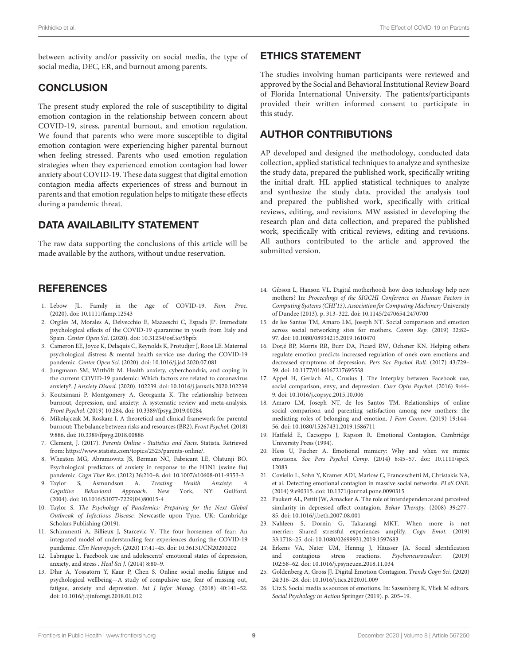between activity and/or passivity on social media, the type of social media, DEC, ER, and burnout among parents.

### **CONCLUSION**

The present study explored the role of susceptibility to digital emotion contagion in the relationship between concern about COVID-19, stress, parental burnout, and emotion regulation. We found that parents who were more susceptible to digital emotion contagion were experiencing higher parental burnout when feeling stressed. Parents who used emotion regulation strategies when they experienced emotion contagion had lower anxiety about COVID-19. These data suggest that digital emotion contagion media affects experiences of stress and burnout in parents and that emotion regulation helps to mitigate these effects during a pandemic threat.

# DATA AVAILABILITY STATEMENT

The raw data supporting the conclusions of this article will be made available by the authors, without undue reservation.

# **REFERENCES**

- <span id="page-8-0"></span>1. Lebow JL. Family in the Age of COVID-19. Fam. Proc. (2020). doi: [10.1111/famp.12543](https://doi.org/10.1111/famp.12543)
- <span id="page-8-1"></span>2. Orgilés M, Morales A, Delvecchio E, Mazzeschi C, Espada JP. Immediate psychological effects of the COVID-19 quarantine in youth from Italy and Spain. Center Open Sci. (2020). doi: [10.31234/osf.io/5bpfz](https://doi.org/10.31234/osf.io/5bpfz)
- <span id="page-8-2"></span>3. Cameron EE, Joyce K, Delaquis C, Reynolds K, Protudjer J, Roos LE. Maternal psychological distress & mental health service use during the COVID-19 pandemic. Center Open Sci. (2020). doi: [10.1016/j.jad.2020.07.081](https://doi.org/10.1016/j.jad.2020.07.081)
- <span id="page-8-3"></span>4. Jungmann SM, Witthöft M. Health anxiety, cyberchondria, and coping in the current COVID-19 pandemic: Which factors are related to coronavirus anxiety?. J Anxiety Disord. (2020). 102239. doi: [10.1016/j.janxdis.2020.102239](https://doi.org/10.1016/j.janxdis.2020.102239)
- <span id="page-8-4"></span>5. Koutsimani P, Montgomery A, Georganta K. The relationship between burnout, depression, and anxiety: A systematic review and meta-analysis. Front Psychol. (2019) 10:284. doi: [10.3389/fpsyg.2019.00284](https://doi.org/10.3389/fpsyg.2019.00284)
- <span id="page-8-5"></span>6. Mikolajczak M, Roskam I. A theoretical and clinical framework for parental burnout: The balance between risks and resources (BR2). Front Psychol. (2018) 9:886. doi: [10.3389/fpsyg.2018.00886](https://doi.org/10.3389/fpsyg.2018.00886)
- <span id="page-8-6"></span>7. Clement, J. (2017). Parents Online - Statistics and Facts. Statista. Retrieved from: [https://www.statista.com/topics/2525/parents-online/.](https://www.statista.com/topics/2525/parents-online/)
- <span id="page-8-7"></span>8. Wheaton MG, Abramowitz JS, Berman NC, Fabricant LE, Olatunji BO. Psychological predictors of anxiety in response to the H1N1 (swine flu)
- <span id="page-8-8"></span>pandemic. Cogn Ther Res. (2012) 36:210–8. doi: [10.1007/s10608-011-9353-3](https://doi.org/10.1007/s10608-011-9353-3) Asmundson A. Treating Health Anxiety: A Cognitive Behavioral Approach. New York, NY: Guilford. (2004). doi: [10.1016/S1077-7229\(04\)80015-4](https://doi.org/10.1016/S1077-7229(04)80015-4)
- <span id="page-8-9"></span>10. Taylor S. The Psychology of Pandemics: Preparing for the Next Global Outbreak of Infectious Disease. Newcastle upon Tyne, UK: Cambridge Scholars Publishing (2019).
- <span id="page-8-10"></span>11. Schimmenti A, Billieux J, Starcevic V. The four horsemen of fear: An integrated model of understanding fear experiences during the COVID-19 pandemic. Clin Neuropsych. (2020) 17:41–45. doi: [10.36131/CN20200202](https://doi.org/10.36131/CN20200202)
- <span id="page-8-11"></span>12. Labrague L. Facebook use and adolescents' emotional states of depression, anxiety, and stress . Heal Sci J. (2014) 8:80–9.
- <span id="page-8-12"></span>13. Dhir A, Yossatorn Y, Kaur P, Chen S. Online social media fatigue and psychological wellbeing—A study of compulsive use, fear of missing out, fatigue, anxiety and depression. Int J Infor Manag. (2018) 40:141–52. doi: [10.1016/j.ijinfomgt.2018.01.012](https://doi.org/10.1016/j.ijinfomgt.2018.01.012)

### ETHICS STATEMENT

The studies involving human participants were reviewed and approved by the Social and Behavioral Institutional Review Board of Florida International University. The patients/participants provided their written informed consent to participate in this study.

## AUTHOR CONTRIBUTIONS

AP developed and designed the methodology, conducted data collection, applied statistical techniques to analyze and synthesize the study data, prepared the published work, specifically writing the initial draft. HL applied statistical techniques to analyze and synthesize the study data, provided the analysis tool and prepared the published work, specifically with critical reviews, editing, and revisions. MW assisted in developing the research plan and data collection, and prepared the published work, specifically with critical reviews, editing and revisions. All authors contributed to the article and approved the submitted version.

- <span id="page-8-13"></span>14. Gibson L, Hanson VL. Digital motherhood: how does technology help new mothers? In: Proceedings of the SIGCHI Conference on Human Factors in Computing Systems (CHI'13). Association for Computing Machinery University of Dundee (2013). p. 313–322. doi: [10.1145/2470654.2470700](https://doi.org/10.1145/2470654.2470700)
- <span id="page-8-14"></span>15. de los Santos TM, Amaro LM, Joseph NT. Social comparison and emotion across social networking sites for mothers. Comm Rep. (2019) 32:82– 97. doi: [10.1080/08934215.2019.1610470](https://doi.org/10.1080/08934215.2019.1610470)
- <span id="page-8-15"></span>16. Dor,é BP, Morris RR, Burr DA, Picard RW, Ochsner KN. Helping others regulate emotion predicts increased regulation of one's own emotions and decreased symptoms of depression. Pers Soc Psychol Bull. (2017) 43:729– 39. doi: [10.1177/0146167217695558](https://doi.org/10.1177/0146167217695558)
- <span id="page-8-16"></span>17. Appel H, Gerlach AL, Crusius J. The interplay between Facebook use, social comparison, envy, and depression. Curr Opin Psychol. (2016) 9:44– 9. doi: [10.1016/j.copsyc.2015.10.006](https://doi.org/10.1016/j.copsyc.2015.10.006)
- <span id="page-8-17"></span>18. Amaro LM, Joseph NT, de los Santos TM. Relationships of online social comparison and parenting satisfaction among new mothers: the mediating roles of belonging and emotion. J Fam Comm. (2019) 19:144– 56. doi: [10.1080/15267431.2019.1586711](https://doi.org/10.1080/15267431.2019.1586711)
- <span id="page-8-18"></span>19. Hatfield E, Cacioppo J, Rapson R. Emotional Contagion. Cambridge University Press (1994).
- <span id="page-8-19"></span>20. Hess U, Fischer A. Emotional mimicry: Why and when we mimic emotions. Soc Pers Psychol Comp. [\(2014\) 8:45–57. doi: 10.1111/spc3.](https://doi.org/10.1111/spc3.12083) 12083
- <span id="page-8-20"></span>21. Coviello L, Sohn Y, Kramer ADI, Marlow C, Franceschetti M, Christakis NA, et al. Detecting emotional contagion in massive social networks. PLoS ONE. (2014) 9:e90315. doi: [10.1371/journal.pone.0090315](https://doi.org/10.1371/journal.pone.0090315)
- <span id="page-8-21"></span>22. Paukert AL, Pettit JW, Amacker A. The role of interdependence and perceived similarity in depressed affect contagion. Behav Therapy. (2008) 39:277– 85. doi: [10.1016/j.beth.2007.08.001](https://doi.org/10.1016/j.beth.2007.08.001)
- <span id="page-8-22"></span>23. Nahleen S, Dornin G, Takarangi MKT. When more is not merrier: Shared stressful experiences amplify. Cogn Emot. (2019) 33:1718–25. doi: [10.1080/02699931.2019.1597683](https://doi.org/10.1080/02699931.2019.1597683)
- <span id="page-8-23"></span>24. Erkens VA, Nater UM, Hennig J, Häusser JA. Social identification and contagious stress reactions. Psychoneuroendocr. (2019) 102:58–62. doi: [10.1016/j.psyneuen.2018.11.034](https://doi.org/10.1016/j.psyneuen.2018.11.034)
- <span id="page-8-24"></span>25. Goldenberg A, Gross JJ. Digital Emotion Contagion. Trends Cogn Sci. (2020) 24:316–28. doi: [10.1016/j.tics.2020.01.009](https://doi.org/10.1016/j.tics.2020.01.009)
- <span id="page-8-25"></span>26. Utz S. Social media as sources of emotions. In: Sassenberg K, Vliek M editors. Social Psychology in Action Springer (2019). p. 205–19.